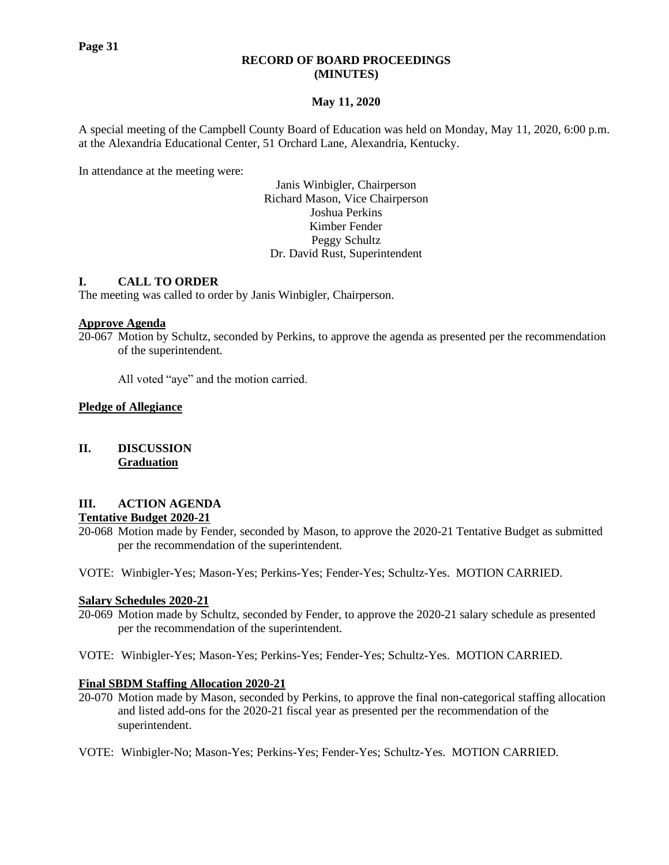# **RECORD OF BOARD PROCEEDINGS (MINUTES)**

# **May 11, 2020**

A special meeting of the Campbell County Board of Education was held on Monday, May 11, 2020, 6:00 p.m. at the Alexandria Educational Center, 51 Orchard Lane, Alexandria, Kentucky.

In attendance at the meeting were:

Janis Winbigler, Chairperson Richard Mason, Vice Chairperson Joshua Perkins Kimber Fender Peggy Schultz Dr. David Rust, Superintendent

# **I. CALL TO ORDER**

The meeting was called to order by Janis Winbigler, Chairperson.

## **Approve Agenda**

20-067 Motion by Schultz, seconded by Perkins, to approve the agenda as presented per the recommendation of the superintendent.

All voted "aye" and the motion carried.

## **Pledge of Allegiance**

# **II. DISCUSSION Graduation**

# **III. ACTION AGENDA**

# **Tentative Budget 2020-21**

20-068 Motion made by Fender, seconded by Mason, to approve the 2020-21 Tentative Budget as submitted per the recommendation of the superintendent.

VOTE: Winbigler-Yes; Mason-Yes; Perkins-Yes; Fender-Yes; Schultz-Yes. MOTION CARRIED.

### **Salary Schedules 2020-21**

- 20-069 Motion made by Schultz, seconded by Fender, to approve the 2020-21 salary schedule as presented per the recommendation of the superintendent.
- VOTE: Winbigler-Yes; Mason-Yes; Perkins-Yes; Fender-Yes; Schultz-Yes. MOTION CARRIED.

### **Final SBDM Staffing Allocation 2020-21**

- 20-070 Motion made by Mason, seconded by Perkins, to approve the final non-categorical staffing allocation and listed add-ons for the 2020-21 fiscal year as presented per the recommendation of the superintendent.
- VOTE: Winbigler-No; Mason-Yes; Perkins-Yes; Fender-Yes; Schultz-Yes. MOTION CARRIED.